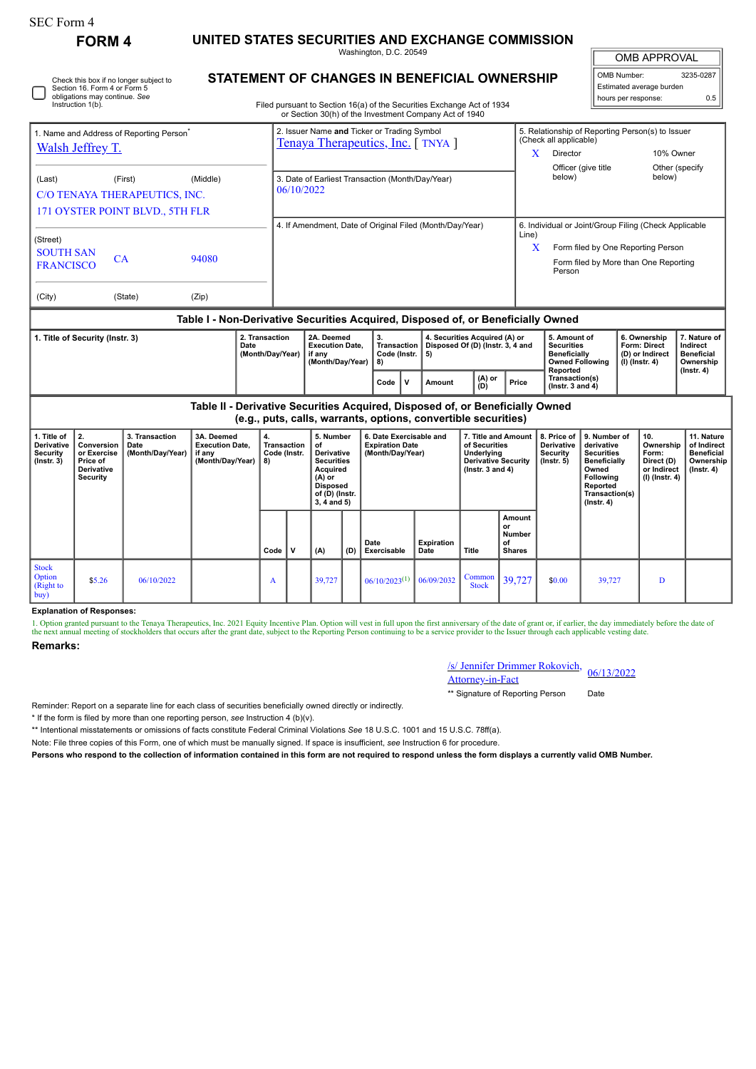| <b>SEC Form 4</b>                                                                                                                                                 |                                                                                    |                                            |                                                                               |                                                |                                                                    |                                                                                                                                                  |                                                 |                                                                                                                                  |                                                                   |                                                                                                   |                                                                                                           |                                                                                                                                                              |                                                                                                                                                |                                                                   |                                                                                |                                                                                 |
|-------------------------------------------------------------------------------------------------------------------------------------------------------------------|------------------------------------------------------------------------------------|--------------------------------------------|-------------------------------------------------------------------------------|------------------------------------------------|--------------------------------------------------------------------|--------------------------------------------------------------------------------------------------------------------------------------------------|-------------------------------------------------|----------------------------------------------------------------------------------------------------------------------------------|-------------------------------------------------------------------|---------------------------------------------------------------------------------------------------|-----------------------------------------------------------------------------------------------------------|--------------------------------------------------------------------------------------------------------------------------------------------------------------|------------------------------------------------------------------------------------------------------------------------------------------------|-------------------------------------------------------------------|--------------------------------------------------------------------------------|---------------------------------------------------------------------------------|
| UNITED STATES SECURITIES AND EXCHANGE COMMISSION<br><b>FORM 4</b><br>Washington, D.C. 20549                                                                       |                                                                                    |                                            |                                                                               |                                                |                                                                    |                                                                                                                                                  |                                                 |                                                                                                                                  |                                                                   |                                                                                                   |                                                                                                           |                                                                                                                                                              |                                                                                                                                                | <b>OMB APPROVAL</b>                                               |                                                                                |                                                                                 |
|                                                                                                                                                                   | Section 16. Form 4 or Form 5<br>obligations may continue. See<br>Instruction 1(b). | Check this box if no longer subject to     | <b>STATEMENT OF CHANGES IN BENEFICIAL OWNERSHIP</b>                           |                                                |                                                                    |                                                                                                                                                  |                                                 | Filed pursuant to Section 16(a) of the Securities Exchange Act of 1934<br>or Section 30(h) of the Investment Company Act of 1940 |                                                                   |                                                                                                   |                                                                                                           |                                                                                                                                                              |                                                                                                                                                | OMB Number:                                                       | Estimated average burden<br>hours per response:                                | 3235-0287<br>0.5                                                                |
| 1. Name and Address of Reporting Person <sup>®</sup><br>Walsh Jeffrey T.                                                                                          |                                                                                    |                                            |                                                                               |                                                |                                                                    |                                                                                                                                                  |                                                 | 2. Issuer Name and Ticker or Trading Symbol<br>Tenaya Therapeutics, Inc. [TNYA]                                                  |                                                                   |                                                                                                   | (Check all applicable)<br>Director<br>X                                                                   |                                                                                                                                                              | 5. Relationship of Reporting Person(s) to Issuer<br>10% Owner<br>Other (specify                                                                |                                                                   |                                                                                |                                                                                 |
| (Last)<br>(First)<br>(Middle)<br>C/O TENAYA THERAPEUTICS, INC.<br>171 OYSTER POINT BLVD., 5TH FLR                                                                 |                                                                                    |                                            |                                                                               |                                                | 3. Date of Earliest Transaction (Month/Day/Year)<br>06/10/2022     |                                                                                                                                                  |                                                 |                                                                                                                                  |                                                                   |                                                                                                   |                                                                                                           | Officer (give title<br>below)<br>below)                                                                                                                      |                                                                                                                                                |                                                                   |                                                                                |                                                                                 |
| (Street)<br><b>SOUTH SAN</b><br><b>CA</b><br>94080<br><b>FRANCISCO</b>                                                                                            |                                                                                    |                                            |                                                                               |                                                | 4. If Amendment, Date of Original Filed (Month/Day/Year)           |                                                                                                                                                  |                                                 |                                                                                                                                  |                                                                   |                                                                                                   |                                                                                                           | 6. Individual or Joint/Group Filing (Check Applicable<br>Line)<br>X<br>Form filed by One Reporting Person<br>Form filed by More than One Reporting<br>Person |                                                                                                                                                |                                                                   |                                                                                |                                                                                 |
| (City)<br>(State)<br>(Zip)                                                                                                                                        |                                                                                    |                                            |                                                                               |                                                |                                                                    |                                                                                                                                                  |                                                 |                                                                                                                                  |                                                                   |                                                                                                   |                                                                                                           |                                                                                                                                                              |                                                                                                                                                |                                                                   |                                                                                |                                                                                 |
| Table I - Non-Derivative Securities Acquired, Disposed of, or Beneficially Owned<br>2. Transaction<br>1. Title of Security (Instr. 3)<br>Date<br>(Month/Day/Year) |                                                                                    |                                            |                                                                               |                                                | 2A. Deemed<br><b>Execution Date.</b><br>if any<br>(Month/Day/Year) |                                                                                                                                                  | 3.<br>Transaction  <br>Code (Instr.<br>5)<br>8) |                                                                                                                                  | 4. Securities Acquired (A) or<br>Disposed Of (D) (Instr. 3, 4 and |                                                                                                   | 5. Amount of<br><b>Securities</b><br>Beneficially<br><b>Owned Following</b><br>Reported<br>Transaction(s) |                                                                                                                                                              |                                                                                                                                                | 6. Ownership<br>Form: Direct<br>(D) or Indirect<br>(I) (Instr. 4) | 7. Nature of<br>Indirect<br><b>Beneficial</b><br>Ownership<br>$($ Instr. 4 $)$ |                                                                                 |
|                                                                                                                                                                   |                                                                                    |                                            | Table II - Derivative Securities Acquired, Disposed of, or Beneficially Owned |                                                |                                                                    |                                                                                                                                                  |                                                 | $\mathsf{v}$<br>Code<br>(e.g., puts, calls, warrants, options, convertible securities)                                           | Amount                                                            | (A) or<br>(D)                                                                                     | Price                                                                                                     | (Instr. $3$ and $4$ )                                                                                                                                        |                                                                                                                                                |                                                                   |                                                                                |                                                                                 |
| 1. Title of<br>Derivative<br>Security<br>$($ Instr. 3 $)$                                                                                                         | 2.<br>Conversion<br>or Exercise<br>Price of<br>Derivative<br><b>Security</b>       | 3. Transaction<br>Date<br>(Month/Day/Year) | 3A. Deemed<br><b>Execution Date,</b><br>if any<br>(Month/Day/Year)            | 4.<br><b>Transaction</b><br>Code (Instr.<br>8) |                                                                    | 5. Number<br>of<br><b>Derivative</b><br><b>Securities</b><br><b>Acquired</b><br>$(A)$ or<br><b>Disposed</b><br>of (D) (Instr.<br>$3, 4$ and $5)$ |                                                 | 6. Date Exercisable and<br><b>Expiration Date</b><br>(Month/Day/Year)                                                            |                                                                   | 7. Title and Amount<br>of Securities<br>Underlying<br>Derivative Security<br>( $lnstr. 3 and 4$ ) |                                                                                                           | 8. Price of<br>Derivative<br><b>Security</b><br>$($ Instr. $5)$                                                                                              | 9. Number of<br>derivative<br><b>Securities</b><br><b>Beneficially</b><br>Owned<br>Following<br>Reported<br>Transaction(s)<br>$($ Instr. 4 $)$ |                                                                   | 10.<br>Ownership<br>Form:<br>Direct (D)<br>or Indirect<br>$(I)$ (Instr. 4)     | 11. Nature<br>of Indirect<br><b>Beneficial</b><br>Ownership<br>$($ Instr. 4 $)$ |
|                                                                                                                                                                   |                                                                                    |                                            |                                                                               | Code                                           | $\mathbf{v}$                                                       | (A)                                                                                                                                              | (D)                                             | Date<br>Exercisable                                                                                                              | <b>Expiration</b><br>Date                                         | <b>Title</b>                                                                                      | Amount<br>or<br>Number<br>Ωf<br><b>Shares</b>                                                             |                                                                                                                                                              |                                                                                                                                                |                                                                   |                                                                                |                                                                                 |
| <b>Stock</b><br>Option<br>(Right to<br>buv)                                                                                                                       | \$5.26                                                                             | 06/10/2022                                 |                                                                               | A                                              |                                                                    | 39,727                                                                                                                                           |                                                 | $06/10/2023^{(1)}$                                                                                                               | 06/09/2032                                                        | Common<br><b>Stock</b>                                                                            | 39,727                                                                                                    | \$0.00                                                                                                                                                       | 39,727                                                                                                                                         |                                                                   | D                                                                              |                                                                                 |

## **Explanation of Responses:**

1. Option granted pursuant to the Tenaya Therapeutics, Inc. 2021 Equity Incentive Plan. Option will vest in full upon the first anniversary of the date of grant or, if earlier, the day immediately before the date of the next annual meeting of stockholders that occurs after the grant date, subject to the Reporting Person continuing to be a service provider to the Issuer through each applicable vesting date

## **Remarks:**

| /s/ Jennifer Drimmer Rokovich, 06/13/2022 |  |  |  |  |
|-------------------------------------------|--|--|--|--|
| <b>Attorney-in-Fact</b>                   |  |  |  |  |

\*\* Signature of Reporting Person Date

Reminder: Report on a separate line for each class of securities beneficially owned directly or indirectly.

\* If the form is filed by more than one reporting person, *see* Instruction 4 (b)(v).

\*\* Intentional misstatements or omissions of facts constitute Federal Criminal Violations *See* 18 U.S.C. 1001 and 15 U.S.C. 78ff(a).

Note: File three copies of this Form, one of which must be manually signed. If space is insufficient, *see* Instruction 6 for procedure.

**Persons who respond to the collection of information contained in this form are not required to respond unless the form displays a currently valid OMB Number.**